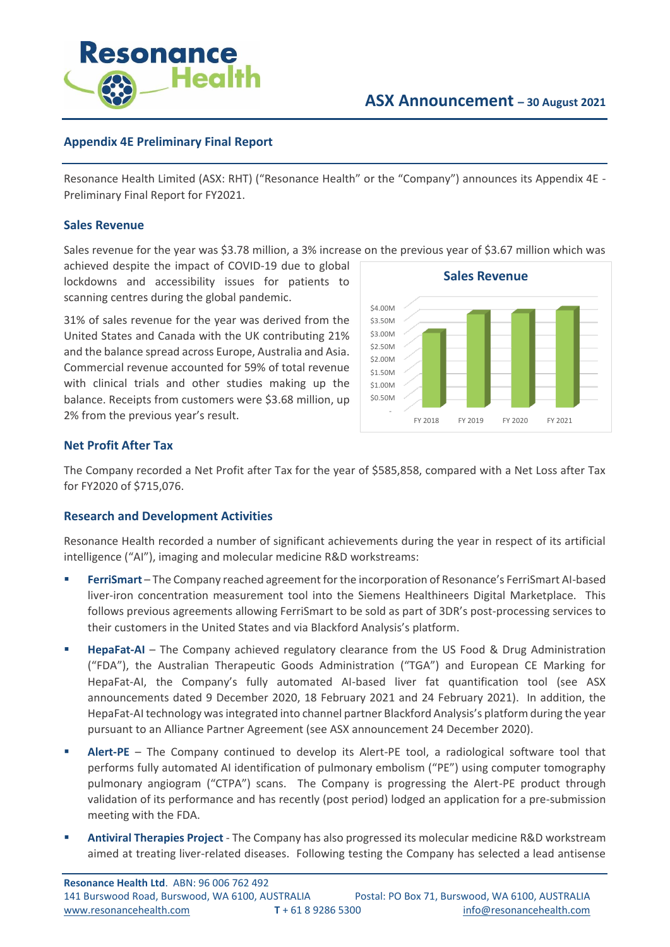

# **Appendix 4E Preliminary Final Report**

Resonance Health Limited (ASX: RHT) ("Resonance Health" or the "Company") announces its Appendix 4E - Preliminary Final Report for FY2021.

# **Sales Revenue**

Sales revenue for the year was \$3.78 million, a 3% increase on the previous year of \$3.67 million which was

achieved despite the impact of COVID-19 due to global lockdowns and accessibility issues for patients to scanning centres during the global pandemic.

31% of sales revenue for the year was derived from the United States and Canada with the UK contributing 21% and the balance spread across Europe, Australia and Asia. Commercial revenue accounted for 59% of total revenue with clinical trials and other studies making up the balance. Receipts from customers were \$3.68 million, up 2% from the previous year's result.



# **Net Profit After Tax**

The Company recorded a Net Profit after Tax for the year of \$585,858, compared with a Net Loss after Tax for FY2020 of \$715,076.

# **Research and Development Activities**

Resonance Health recorded a number of significant achievements during the year in respect of its artificial intelligence ("AI"), imaging and molecular medicine R&D workstreams:

- **FerriSmart** The Company reached agreement for the incorporation of Resonance's FerriSmart AI-based liver-iron concentration measurement tool into the Siemens Healthineers Digital Marketplace. This follows previous agreements allowing FerriSmart to be sold as part of 3DR's post-processing services to their customers in the United States and via Blackford Analysis's platform.
- **E** HepaFat-AI The Company achieved regulatory clearance from the US Food & Drug Administration ("FDA"), the Australian Therapeutic Goods Administration ("TGA") and European CE Marking for HepaFat-AI, the Company's fully automated AI-based liver fat quantification tool (see ASX announcements dated 9 December 2020, 18 February 2021 and 24 February 2021). In addition, the HepaFat-AI technology was integrated into channel partner Blackford Analysis's platform during the year pursuant to an Alliance Partner Agreement (see ASX announcement 24 December 2020).
- **E** Alert-PE The Company continued to develop its Alert-PE tool, a radiological software tool that performs fully automated AI identification of pulmonary embolism ("PE") using computer tomography pulmonary angiogram ("CTPA") scans. The Company is progressing the Alert-PE product through validation of its performance and has recently (post period) lodged an application for a pre-submission meeting with the FDA.
- **Antiviral Therapies Project** The Company has also progressed its molecular medicine R&D workstream aimed at treating liver-related diseases. Following testing the Company has selected a lead antisense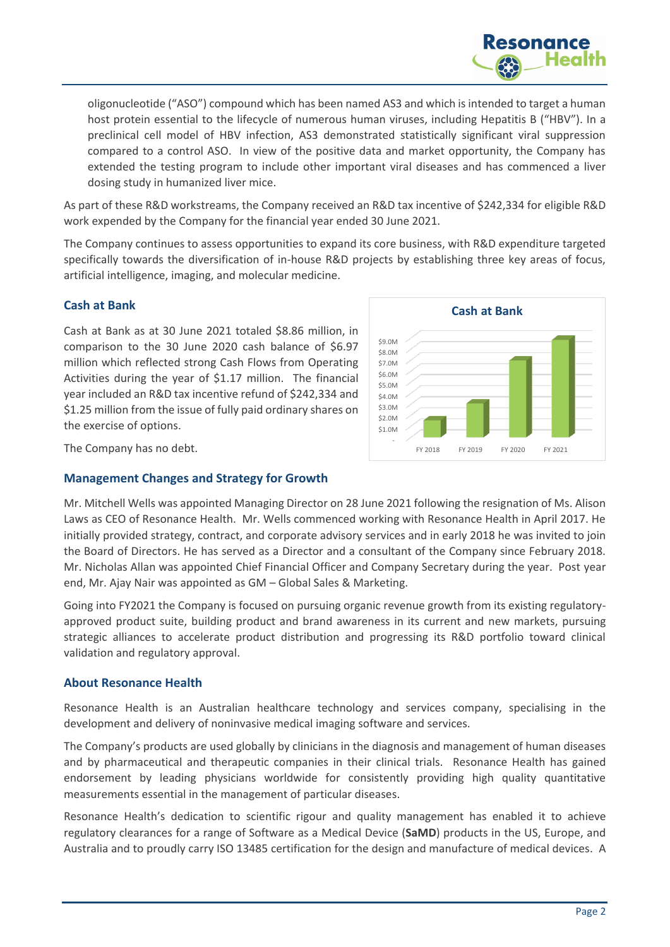

oligonucleotide ("ASO") compound which has been named AS3 and which is intended to target a human host protein essential to the lifecycle of numerous human viruses, including Hepatitis B ("HBV"). In a preclinical cell model of HBV infection, AS3 demonstrated statistically significant viral suppression compared to a control ASO. In view of the positive data and market opportunity, the Company has extended the testing program to include other important viral diseases and has commenced a liver dosing study in humanized liver mice.

As part of these R&D workstreams, the Company received an R&D tax incentive of \$242,334 for eligible R&D work expended by the Company for the financial year ended 30 June 2021.

The Company continues to assess opportunities to expand its core business, with R&D expenditure targeted specifically towards the diversification of in-house R&D projects by establishing three key areas of focus, artificial intelligence, imaging, and molecular medicine.

# **Cash at Bank**

Cash at Bank as at 30 June 2021 totaled \$8.86 million, in comparison to the 30 June 2020 cash balance of \$6.97 million which reflected strong Cash Flows from Operating Activities during the year of \$1.17 million. The financial year included an R&D tax incentive refund of \$242,334 and \$1.25 million from the issue of fully paid ordinary shares on the exercise of options.



The Company has no debt.

# **Management Changes and Strategy for Growth**

Mr. Mitchell Wells was appointed Managing Director on 28 June 2021 following the resignation of Ms. Alison Laws as CEO of Resonance Health. Mr. Wells commenced working with Resonance Health in April 2017. He initially provided strategy, contract, and corporate advisory services and in early 2018 he was invited to join the Board of Directors. He has served as a Director and a consultant of the Company since February 2018. Mr. Nicholas Allan was appointed Chief Financial Officer and Company Secretary during the year. Post year end, Mr. Ajay Nair was appointed as GM – Global Sales & Marketing.

Going into FY2021 the Company is focused on pursuing organic revenue growth from its existing regulatoryapproved product suite, building product and brand awareness in its current and new markets, pursuing strategic alliances to accelerate product distribution and progressing its R&D portfolio toward clinical validation and regulatory approval.

# **About Resonance Health**

Resonance Health is an Australian healthcare technology and services company, specialising in the development and delivery of noninvasive medical imaging software and services.

The Company's products are used globally by clinicians in the diagnosis and management of human diseases and by pharmaceutical and therapeutic companies in their clinical trials. Resonance Health has gained endorsement by leading physicians worldwide for consistently providing high quality quantitative measurements essential in the management of particular diseases.

Resonance Health's dedication to scientific rigour and quality management has enabled it to achieve regulatory clearances for a range of Software as a Medical Device (**SaMD**) products in the US, Europe, and Australia and to proudly carry ISO 13485 certification for the design and manufacture of medical devices. A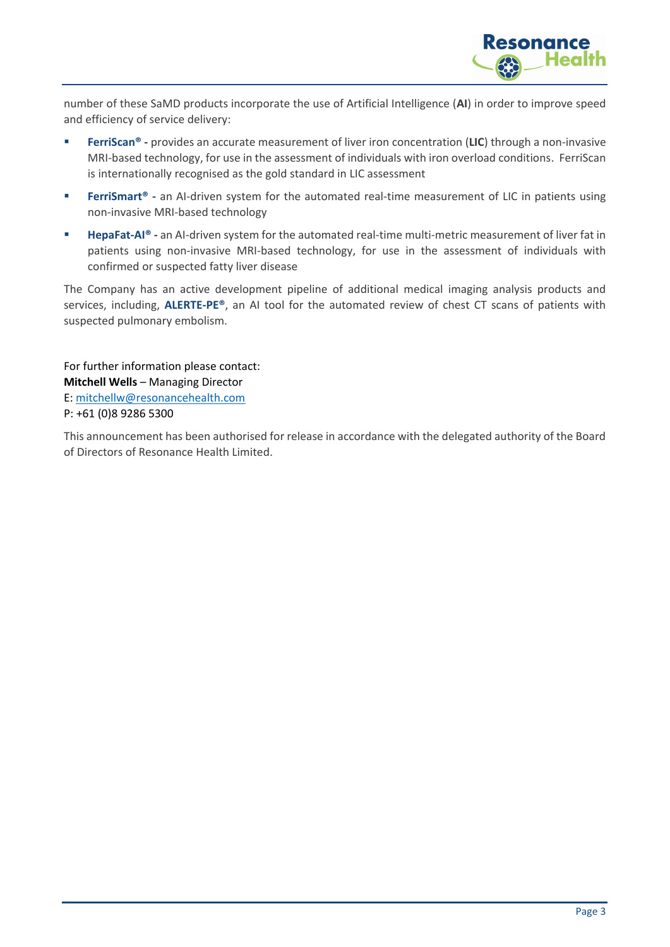

number of these SaMD products incorporate the use of Artificial Intelligence (**AI**) in order to improve speed and efficiency of service delivery:

- **FerriScan<sup>®</sup> -** provides an accurate measurement of liver iron concentration (LIC) through a non-invasive MRI-based technology, for use in the assessment of individuals with iron overload conditions. FerriScan is internationally recognised as the gold standard in LIC assessment
- **FerriSmart**® an AI-driven system for the automated real-time measurement of LIC in patients using non-invasive MRI-based technology
- **HepaFat-AI<sup>®</sup> -** an AI-driven system for the automated real-time multi-metric measurement of liver fat in patients using non-invasive MRI-based technology, for use in the assessment of individuals with confirmed or suspected fatty liver disease

The Company has an active development pipeline of additional medical imaging analysis products and services, including, **ALERTE-PE®**, an AI tool for the automated review of chest CT scans of patients with suspected pulmonary embolism.

For further information please contact: **Mitchell Wells** – Managing Director E[: mitchellw@resonancehealth.com](mailto:mitchellw@resonancehealth.com) P: +61 (0)8 9286 5300

This announcement has been authorised for release in accordance with the delegated authority of the Board of Directors of Resonance Health Limited.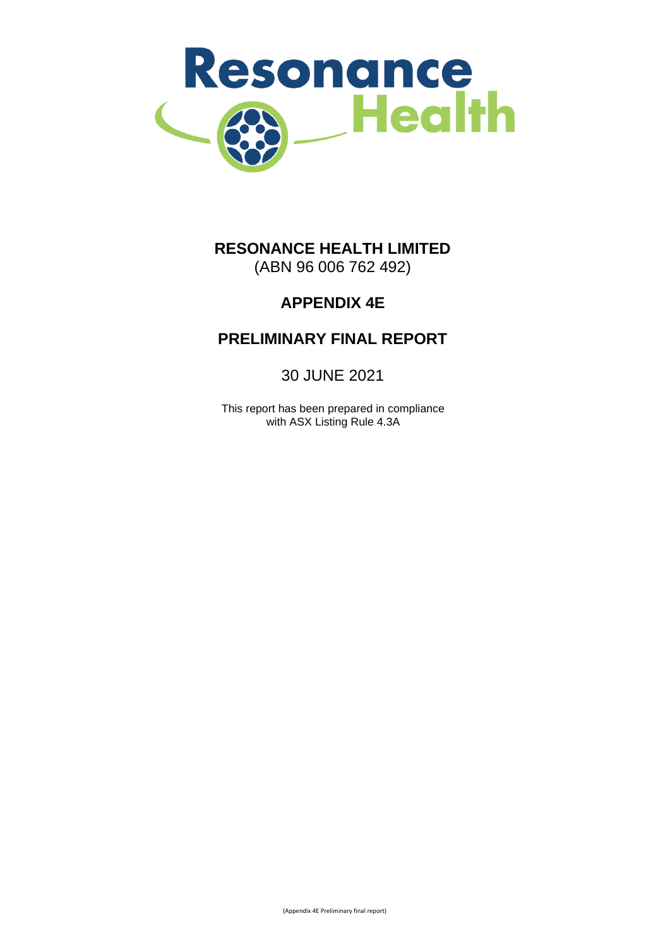

# **RESONANCE HEALTH LIMITED** (ABN 96 006 762 492)

# **APPENDIX 4E**

# **PRELIMINARY FINAL REPORT**

30 JUNE 2021

This report has been prepared in compliance with ASX Listing Rule 4.3A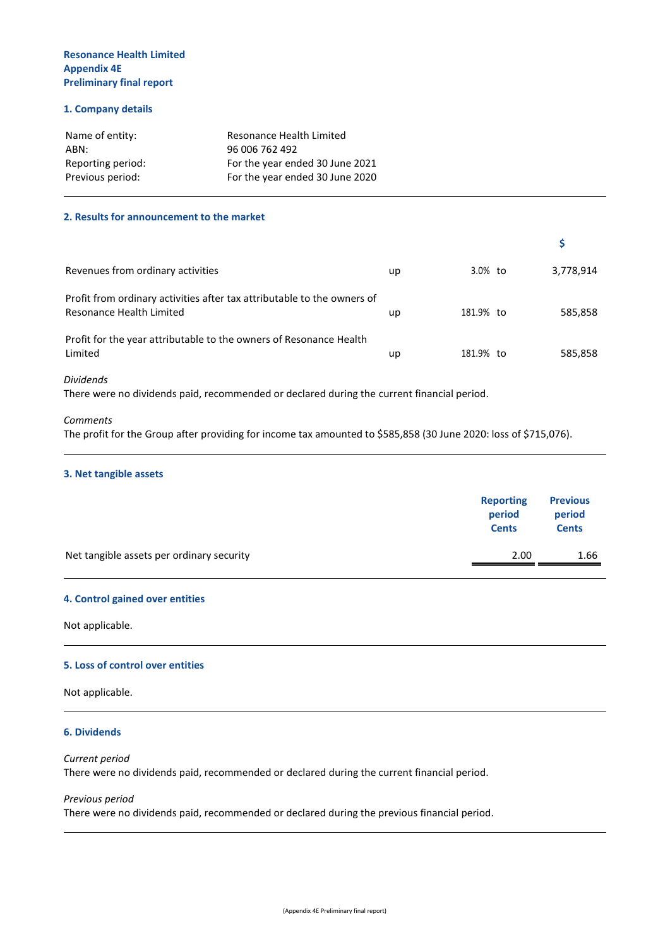#### **1. Company details**

| Name of entity:   | Resonance Health Limited        |
|-------------------|---------------------------------|
| ABN:              | 96 006 762 492                  |
| Reporting period: | For the year ended 30 June 2021 |
| Previous period:  | For the year ended 30 June 2020 |

#### **2. Results for announcement to the market**

| Revenues from ordinary activities                                                                   | up | 3.0% to   | 3,778,914 |
|-----------------------------------------------------------------------------------------------------|----|-----------|-----------|
| Profit from ordinary activities after tax attributable to the owners of<br>Resonance Health Limited | up | 181.9% to | 585,858   |
| Profit for the year attributable to the owners of Resonance Health<br>Limited                       | up | 181.9% to | 585,858   |

#### *Dividends*

There were no dividends paid, recommended or declared during the current financial period.

#### *Comments*

The profit for the Group after providing for income tax amounted to \$585,858 (30 June 2020: loss of \$715,076).

#### **3. Net tangible assets**

|                                           | <b>Reporting</b><br>period<br><b>Cents</b> | <b>Previous</b><br>period<br><b>Cents</b> |
|-------------------------------------------|--------------------------------------------|-------------------------------------------|
| Net tangible assets per ordinary security | 2.00                                       | 1.66                                      |

#### **4. Control gained over entities**

Not applicable.

#### **5. Loss of control over entities**

Not applicable.

#### **6. Dividends**

*Current period* There were no dividends paid, recommended or declared during the current financial period.

#### *Previous period*

There were no dividends paid, recommended or declared during the previous financial period.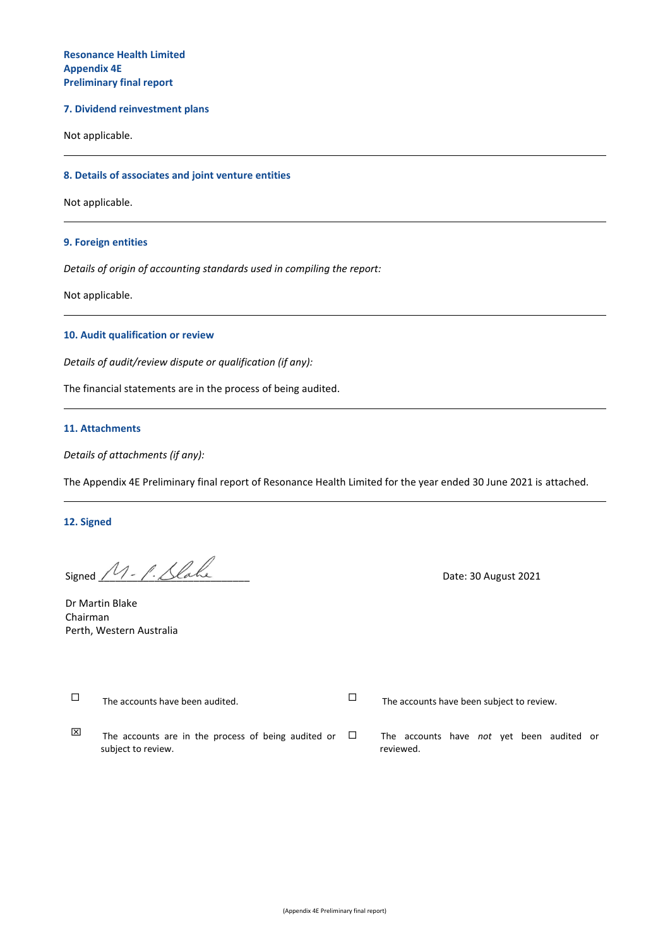#### **7. Dividend reinvestment plans**

Not applicable.

#### **8. Details of associates and joint venture entities**

Not applicable.

#### **9. Foreign entities**

*Details of origin of accounting standards used in compiling the report:*

Not applicable.

#### **10. Audit qualification or review**

*Details of audit/review dispute or qualification (if any):*

The financial statements are in the process of being audited.

#### **11. Attachments**

*Details of attachments (if any):*

The Appendix 4E Preliminary final report of Resonance Health Limited for the year ended 30 June 2021 is attached.

#### **12. Signed**

Signed  $M - \ell$ . Slake

Dr Martin Blake Chairman Perth, Western Australia

 $\Box$  The accounts have been audited.  $\Box$  The accounts have been subject to review.  $\boxtimes$  The accounts are in the process of being audited or subject to review. The accounts have *not* yet been audited or reviewed.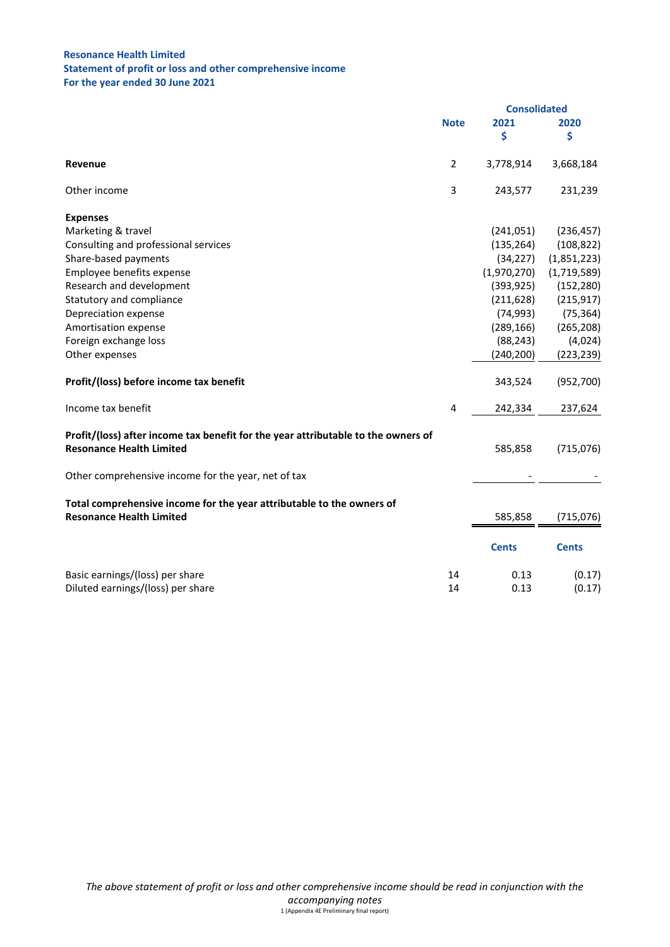# **Resonance Health Limited Statement of profit or loss and other comprehensive income For the year ended 30 June 2021**

|                                                                                                                      | <b>Consolidated</b> |              |              |
|----------------------------------------------------------------------------------------------------------------------|---------------------|--------------|--------------|
|                                                                                                                      | <b>Note</b>         | 2021         | 2020         |
|                                                                                                                      |                     | \$           | \$           |
| Revenue                                                                                                              | $\overline{2}$      | 3,778,914    | 3,668,184    |
| Other income                                                                                                         | 3                   | 243,577      | 231,239      |
| <b>Expenses</b>                                                                                                      |                     |              |              |
| Marketing & travel                                                                                                   |                     | (241,051)    | (236, 457)   |
| Consulting and professional services                                                                                 |                     | (135, 264)   | (108, 822)   |
| Share-based payments                                                                                                 |                     | (34, 227)    | (1,851,223)  |
| Employee benefits expense                                                                                            |                     | (1,970,270)  | (1,719,589)  |
| Research and development                                                                                             |                     | (393, 925)   | (152, 280)   |
| Statutory and compliance                                                                                             |                     | (211, 628)   | (215, 917)   |
| Depreciation expense                                                                                                 |                     | (74, 993)    | (75, 364)    |
| Amortisation expense                                                                                                 |                     | (289, 166)   | (265, 208)   |
| Foreign exchange loss                                                                                                |                     | (88, 243)    | (4,024)      |
| Other expenses                                                                                                       |                     | (240, 200)   | (223, 239)   |
| Profit/(loss) before income tax benefit                                                                              |                     | 343,524      | (952,700)    |
| Income tax benefit                                                                                                   | 4                   | 242,334      | 237,624      |
| Profit/(loss) after income tax benefit for the year attributable to the owners of<br><b>Resonance Health Limited</b> |                     | 585,858      | (715,076)    |
| Other comprehensive income for the year, net of tax                                                                  |                     |              |              |
| Total comprehensive income for the year attributable to the owners of<br><b>Resonance Health Limited</b>             |                     | 585,858      | (715, 076)   |
|                                                                                                                      |                     | <b>Cents</b> | <b>Cents</b> |
| Basic earnings/(loss) per share                                                                                      | 14                  | 0.13         | (0.17)       |
| Diluted earnings/(loss) per share                                                                                    | 14                  | 0.13         | (0.17)       |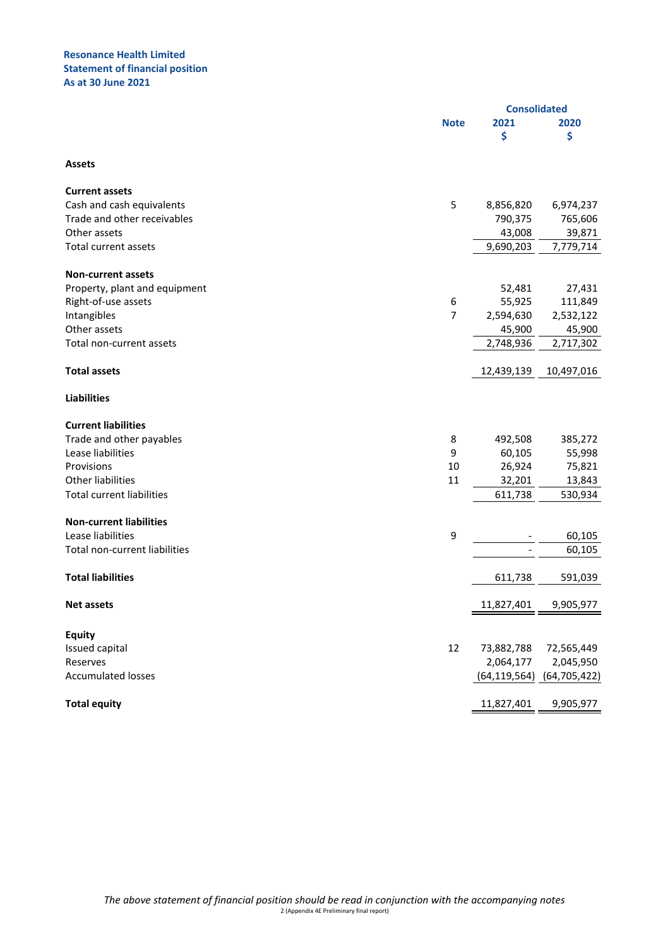## **Resonance Health Limited Statement of financial position As at 30 June 2021**

|                                  |             |                          | <b>Consolidated</b> |
|----------------------------------|-------------|--------------------------|---------------------|
|                                  | <b>Note</b> | 2021                     | 2020                |
|                                  |             | \$                       | \$                  |
| <b>Assets</b>                    |             |                          |                     |
| <b>Current assets</b>            |             |                          |                     |
| Cash and cash equivalents        | 5           | 8,856,820                | 6,974,237           |
| Trade and other receivables      |             | 790,375                  | 765,606             |
| Other assets                     |             | 43,008                   | 39,871              |
| <b>Total current assets</b>      |             | 9,690,203                | 7,779,714           |
| <b>Non-current assets</b>        |             |                          |                     |
| Property, plant and equipment    |             | 52,481                   | 27,431              |
| Right-of-use assets              | 6           | 55,925                   | 111,849             |
| Intangibles                      | 7           | 2,594,630                | 2,532,122           |
| Other assets                     |             | 45,900                   | 45,900              |
| Total non-current assets         |             | 2,748,936                | 2,717,302           |
| <b>Total assets</b>              |             | 12,439,139               | 10,497,016          |
| <b>Liabilities</b>               |             |                          |                     |
| <b>Current liabilities</b>       |             |                          |                     |
| Trade and other payables         | 8           | 492,508                  | 385,272             |
| Lease liabilities                | 9           | 60,105                   | 55,998              |
| Provisions                       | 10          | 26,924                   | 75,821              |
| Other liabilities                | 11          | 32,201                   | 13,843              |
| <b>Total current liabilities</b> |             | 611,738                  | 530,934             |
| <b>Non-current liabilities</b>   |             |                          |                     |
| Lease liabilities                | 9           |                          | 60,105              |
| Total non-current liabilities    |             | $\overline{\phantom{0}}$ | 60,105              |
| <b>Total liabilities</b>         |             | 611,738                  | 591,039             |
| <b>Net assets</b>                |             | 11,827,401               | 9,905,977           |
|                                  |             |                          |                     |
| <b>Equity</b><br>Issued capital  | 12          | 73,882,788               | 72,565,449          |
| Reserves                         |             | 2,064,177                | 2,045,950           |
| <b>Accumulated losses</b>        |             | (64, 119, 564)           | (64, 705, 422)      |
|                                  |             |                          |                     |
| <b>Total equity</b>              |             | 11,827,401               | 9,905,977           |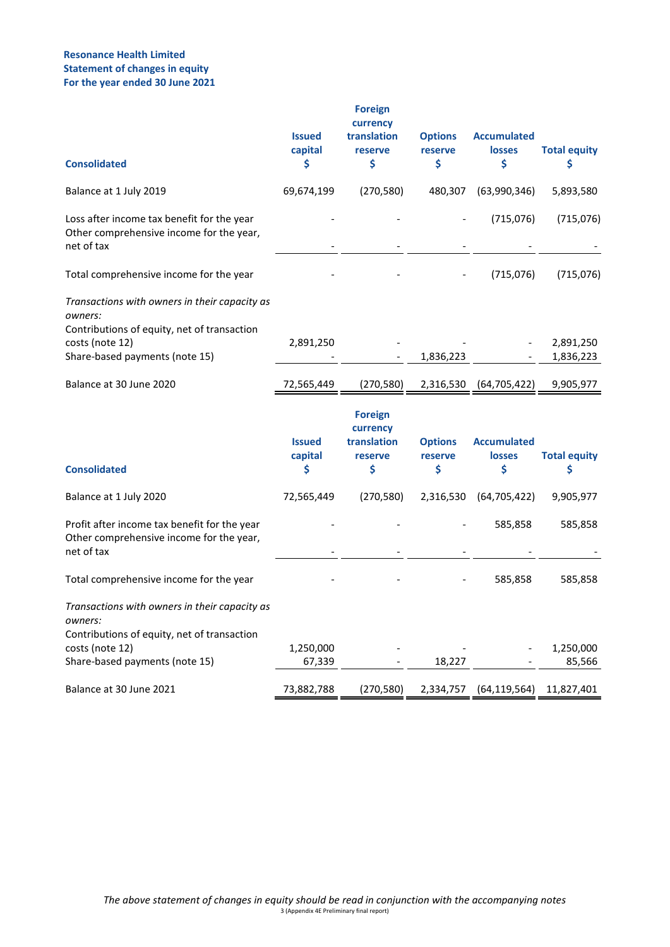# **Resonance Health Limited Statement of changes in equity For the year ended 30 June 2021**

| <b>Consolidated</b>                                                                                                                                          | <b>Issued</b><br>capital<br>\$ | <b>Foreign</b><br>currency<br>translation<br>reserve<br>\$ | <b>Options</b><br>reserve<br>\$ | <b>Accumulated</b><br><b>losses</b><br>\$ | <b>Total equity</b><br>\$ |
|--------------------------------------------------------------------------------------------------------------------------------------------------------------|--------------------------------|------------------------------------------------------------|---------------------------------|-------------------------------------------|---------------------------|
| Balance at 1 July 2019                                                                                                                                       | 69,674,199                     | (270, 580)                                                 | 480,307                         | (63,990,346)                              | 5,893,580                 |
| Loss after income tax benefit for the year<br>Other comprehensive income for the year,<br>net of tax                                                         |                                |                                                            |                                 | (715,076)                                 | (715,076)                 |
| Total comprehensive income for the year                                                                                                                      |                                |                                                            |                                 | (715,076)                                 | (715,076)                 |
| Transactions with owners in their capacity as<br>owners:<br>Contributions of equity, net of transaction<br>costs (note 12)<br>Share-based payments (note 15) | 2,891,250                      |                                                            | 1,836,223                       |                                           | 2,891,250<br>1,836,223    |
| Balance at 30 June 2020                                                                                                                                      | 72,565,449                     | (270, 580)                                                 | 2,316,530                       | (64, 705, 422)                            | 9,905,977                 |
| <b>Consolidated</b>                                                                                                                                          | <b>Issued</b><br>capital<br>\$ | <b>Foreign</b><br>currency<br>translation<br>reserve<br>\$ | <b>Options</b><br>reserve<br>\$ | <b>Accumulated</b><br><b>losses</b><br>\$ | <b>Total equity</b><br>\$ |
| Balance at 1 July 2020                                                                                                                                       | 72,565,449                     | (270, 580)                                                 | 2,316,530                       | (64, 705, 422)                            | 9,905,977                 |
| Profit after income tax benefit for the year<br>Other comprehensive income for the year,<br>net of tax                                                       |                                |                                                            |                                 | 585,858                                   | 585,858                   |
| Total comprehensive income for the year                                                                                                                      |                                |                                                            |                                 | 585,858                                   | 585,858                   |
| Transactions with owners in their capacity as<br>owners:<br>Contributions of equity, net of transaction                                                      |                                |                                                            |                                 |                                           |                           |
| costs (note 12)<br>Share-based payments (note 15)                                                                                                            | 1,250,000<br>67,339            |                                                            | 18,227                          |                                           | 1,250,000<br>85,566       |
| Balance at 30 June 2021                                                                                                                                      | 73,882,788                     | (270, 580)                                                 | 2,334,757                       | (64, 119, 564)                            | 11,827,401                |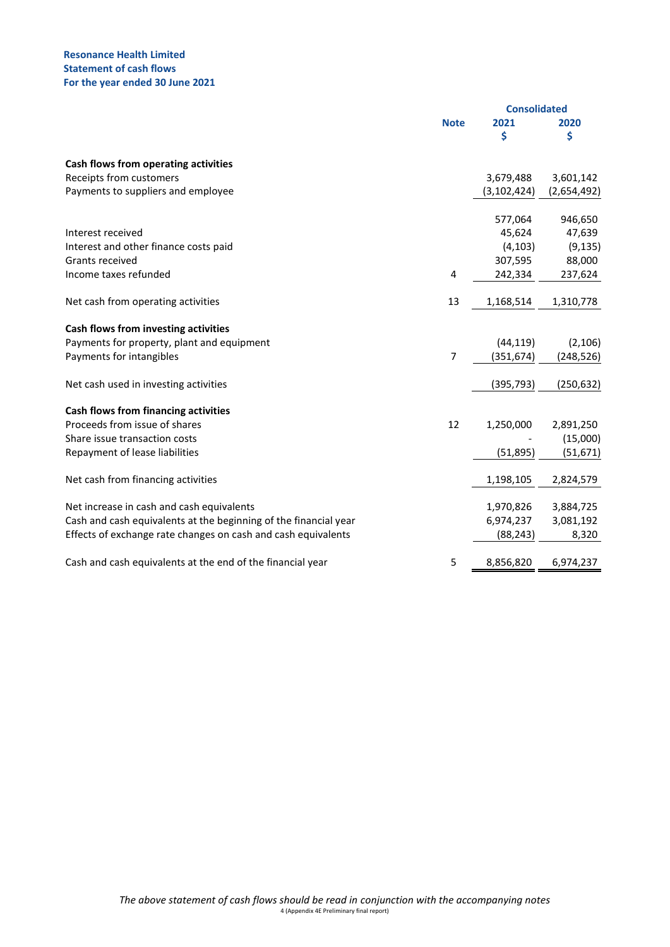# **Resonance Health Limited Statement of cash flows For the year ended 30 June 2021**

|                                                                  |                |               | <b>Consolidated</b> |  |
|------------------------------------------------------------------|----------------|---------------|---------------------|--|
|                                                                  | <b>Note</b>    | 2021          | 2020                |  |
|                                                                  |                | \$            | \$                  |  |
| Cash flows from operating activities                             |                |               |                     |  |
| Receipts from customers                                          |                | 3,679,488     | 3,601,142           |  |
| Payments to suppliers and employee                               |                | (3, 102, 424) | (2,654,492)         |  |
|                                                                  |                | 577,064       | 946,650             |  |
| Interest received                                                |                | 45,624        | 47,639              |  |
| Interest and other finance costs paid                            |                | (4, 103)      | (9, 135)            |  |
| <b>Grants received</b>                                           |                | 307,595       | 88,000              |  |
| Income taxes refunded                                            | $\overline{4}$ | 242,334       | 237,624             |  |
| Net cash from operating activities                               | 13             | 1,168,514     | 1,310,778           |  |
| Cash flows from investing activities                             |                |               |                     |  |
| Payments for property, plant and equipment                       |                | (44, 119)     | (2, 106)            |  |
| Payments for intangibles                                         | 7              | (351, 674)    | (248, 526)          |  |
| Net cash used in investing activities                            |                | (395, 793)    | (250, 632)          |  |
| <b>Cash flows from financing activities</b>                      |                |               |                     |  |
| Proceeds from issue of shares                                    | 12             | 1,250,000     | 2,891,250           |  |
| Share issue transaction costs                                    |                |               | (15,000)            |  |
| Repayment of lease liabilities                                   |                | (51, 895)     | (51, 671)           |  |
| Net cash from financing activities                               |                | 1,198,105     | 2,824,579           |  |
| Net increase in cash and cash equivalents                        |                | 1,970,826     | 3,884,725           |  |
| Cash and cash equivalents at the beginning of the financial year |                | 6,974,237     | 3,081,192           |  |
| Effects of exchange rate changes on cash and cash equivalents    |                | (88, 243)     | 8,320               |  |
| Cash and cash equivalents at the end of the financial year       | 5              | 8,856,820     | 6,974,237           |  |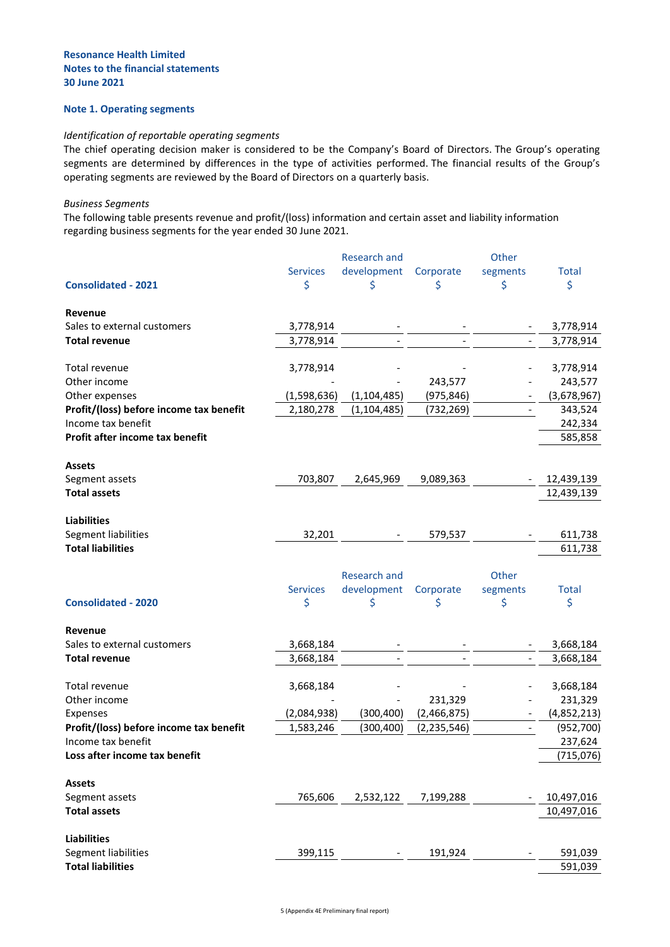## **Note 1. Operating segments**

#### *Identification of reportable operating segments*

The chief operating decision maker is considered to be the Company's Board of Directors. The Group's operating segments are determined by differences in the type of activities performed. The financial results of the Group's operating segments are reviewed by the Board of Directors on a quarterly basis.

#### *Business Segments*

The following table presents revenue and profit/(loss) information and certain asset and liability information regarding business segments for the year ended 30 June 2021.

|                                                 |                 | <b>Research and</b> |               | Other                    |                          |
|-------------------------------------------------|-----------------|---------------------|---------------|--------------------------|--------------------------|
|                                                 | <b>Services</b> | development         | Corporate     | segments                 | <b>Total</b>             |
| <b>Consolidated - 2021</b>                      | \$              | Ś                   | \$            | \$                       | \$                       |
| Revenue                                         |                 |                     |               |                          |                          |
| Sales to external customers                     | 3,778,914       |                     |               |                          | 3,778,914                |
| <b>Total revenue</b>                            | 3,778,914       |                     |               | $\overline{\phantom{m}}$ | 3,778,914                |
| Total revenue                                   | 3,778,914       |                     |               |                          | 3,778,914                |
| Other income                                    |                 |                     | 243,577       |                          | 243,577                  |
| Other expenses                                  | (1,598,636)     | (1, 104, 485)       | (975, 846)    |                          | (3,678,967)              |
| Profit/(loss) before income tax benefit         | 2,180,278       | (1, 104, 485)       | (732, 269)    | $\overline{\phantom{a}}$ | 343,524                  |
| Income tax benefit                              |                 |                     |               |                          | 242,334                  |
| Profit after income tax benefit                 |                 |                     |               |                          | 585,858                  |
| <b>Assets</b>                                   |                 |                     |               |                          |                          |
| Segment assets                                  | 703,807         | 2,645,969           | 9,089,363     |                          | 12,439,139               |
| <b>Total assets</b>                             |                 |                     |               |                          | 12,439,139               |
|                                                 |                 |                     |               |                          |                          |
| <b>Liabilities</b>                              |                 |                     |               |                          |                          |
| Segment liabilities                             | 32,201          |                     | 579,537       |                          | 611,738                  |
| <b>Total liabilities</b>                        |                 |                     |               |                          | 611,738                  |
|                                                 |                 |                     |               |                          |                          |
|                                                 |                 | <b>Research and</b> |               | Other                    |                          |
|                                                 | <b>Services</b> | development         | Corporate     | segments                 | <b>Total</b>             |
| <b>Consolidated - 2020</b>                      | \$              | \$                  | \$            | \$                       | \$                       |
| Revenue                                         |                 |                     |               |                          |                          |
| Sales to external customers                     | 3,668,184       |                     |               |                          | 3,668,184                |
| <b>Total revenue</b>                            | 3,668,184       |                     |               |                          | 3,668,184                |
| Total revenue                                   | 3,668,184       |                     |               |                          | 3,668,184                |
| Other income                                    |                 |                     | 231,329       |                          | 231,329                  |
| Expenses                                        | (2,084,938)     | (300, 400)          | (2,466,875)   |                          | (4,852,213)              |
| Profit/(loss) before income tax benefit         | 1,583,246       | (300, 400)          | (2, 235, 546) | $\overline{\phantom{a}}$ | (952,700)                |
| Income tax benefit                              |                 |                     |               |                          | 237,624                  |
| Loss after income tax benefit                   |                 |                     |               |                          | (715,076)                |
|                                                 |                 |                     |               |                          |                          |
|                                                 |                 |                     |               |                          |                          |
| <b>Assets</b>                                   |                 |                     |               |                          |                          |
| Segment assets<br><b>Total assets</b>           | 765,606         | 2,532,122           | 7,199,288     |                          | 10,497,016<br>10,497,016 |
|                                                 |                 |                     |               |                          |                          |
| <b>Liabilities</b>                              |                 |                     |               |                          |                          |
| Segment liabilities<br><b>Total liabilities</b> | 399,115         |                     | 191,924       |                          | 591,039<br>591,039       |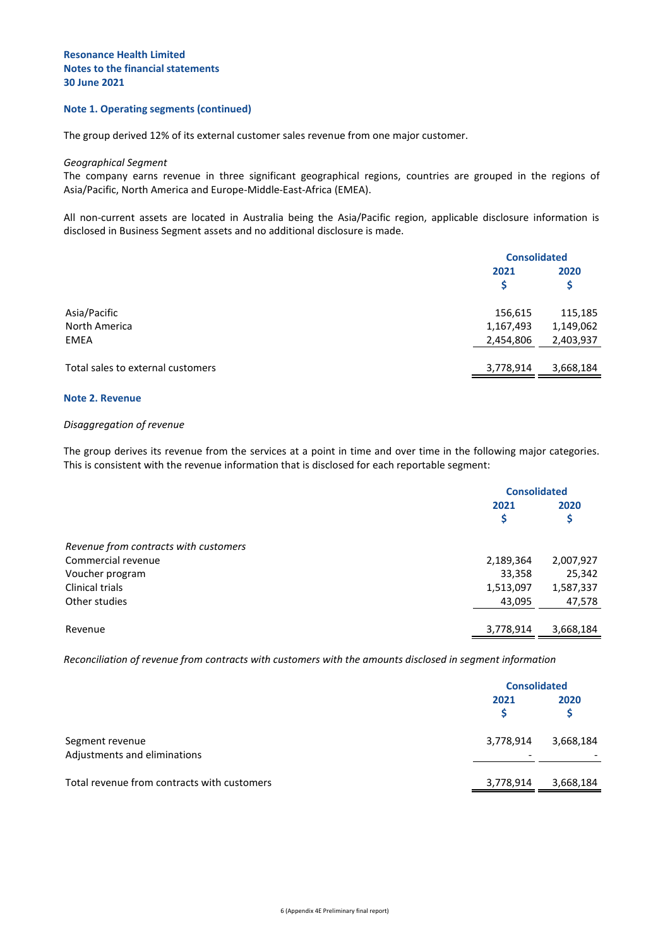#### **Note 1. Operating segments (continued)**

The group derived 12% of its external customer sales revenue from one major customer.

#### *Geographical Segment*

The company earns revenue in three significant geographical regions, countries are grouped in the regions of Asia/Pacific, North America and Europe-Middle-East-Africa (EMEA).

All non-current assets are located in Australia being the Asia/Pacific region, applicable disclosure information is disclosed in Business Segment assets and no additional disclosure is made.

|                                   | <b>Consolidated</b> |           |
|-----------------------------------|---------------------|-----------|
|                                   | 2021                | 2020      |
|                                   |                     | \$        |
| Asia/Pacific                      | 156,615             | 115,185   |
| North America                     | 1,167,493           | 1,149,062 |
| <b>EMEA</b>                       | 2,454,806           | 2,403,937 |
| Total sales to external customers | 3,778,914           | 3,668,184 |

#### **Note 2. Revenue**

#### *Disaggregation of revenue*

The group derives its revenue from the services at a point in time and over time in the following major categories. This is consistent with the revenue information that is disclosed for each reportable segment:

|                                       | <b>Consolidated</b> |           |
|---------------------------------------|---------------------|-----------|
|                                       | 2021                | 2020      |
|                                       | \$                  | Ş         |
| Revenue from contracts with customers |                     |           |
| Commercial revenue                    | 2,189,364           | 2,007,927 |
| Voucher program                       | 33,358              | 25,342    |
| Clinical trials                       | 1,513,097           | 1,587,337 |
| Other studies                         | 43,095              | 47,578    |
| Revenue                               | 3,778,914           | 3,668,184 |

*Reconciliation of revenue from contracts with customers with the amounts disclosed in segment information*

|                                                 | <b>Consolidated</b> |           |
|-------------------------------------------------|---------------------|-----------|
|                                                 | 2021                | 2020      |
| Segment revenue<br>Adjustments and eliminations | 3,778,914           | 3,668,184 |
| Total revenue from contracts with customers     | 3,778,914           | 3,668,184 |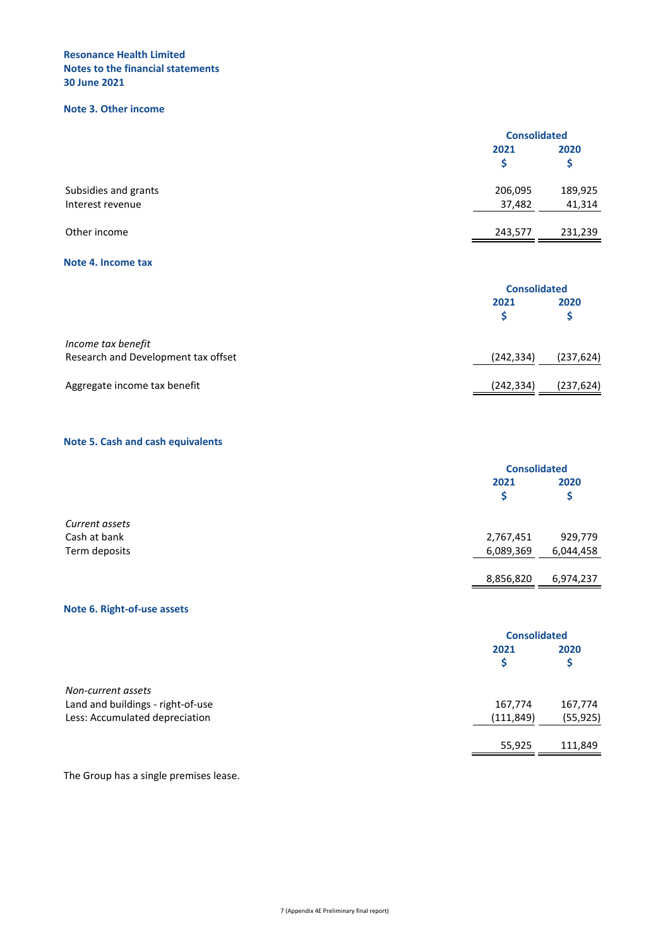# **Note 3. Other income**

|                      |         | <b>Consolidated</b> |
|----------------------|---------|---------------------|
|                      | 2021    | 2020                |
| Subsidies and grants | 206,095 | 189,925             |
| Interest revenue     | 37,482  | 41,314              |
| Other income         | 243,577 | 231,239             |

#### **Note 4. Income tax**

|                                                           |            | <b>Consolidated</b> |  |
|-----------------------------------------------------------|------------|---------------------|--|
|                                                           | 2021       | 2020                |  |
| Income tax benefit<br>Research and Development tax offset | (242, 334) | (237, 624)          |  |
| Aggregate income tax benefit                              | (242, 334) | (237, 624)          |  |

# **Note 5. Cash and cash equivalents**

|                |           | <b>Consolidated</b> |  |
|----------------|-----------|---------------------|--|
|                | 2021      | 2020                |  |
|                |           | Ş                   |  |
| Current assets |           |                     |  |
| Cash at bank   | 2,767,451 | 929,779             |  |
| Term deposits  | 6,089,369 | 6,044,458           |  |
|                | 8,856,820 | 6,974,237           |  |

# **Note 6. Right-of-use assets**

|                                   | <b>Consolidated</b> |           |
|-----------------------------------|---------------------|-----------|
|                                   | 2021                | 2020      |
|                                   |                     | Ş         |
| Non-current assets                |                     |           |
| Land and buildings - right-of-use | 167,774             | 167,774   |
| Less: Accumulated depreciation    | (111, 849)          | (55, 925) |
|                                   | 55,925              | 111,849   |

The Group has a single premises lease.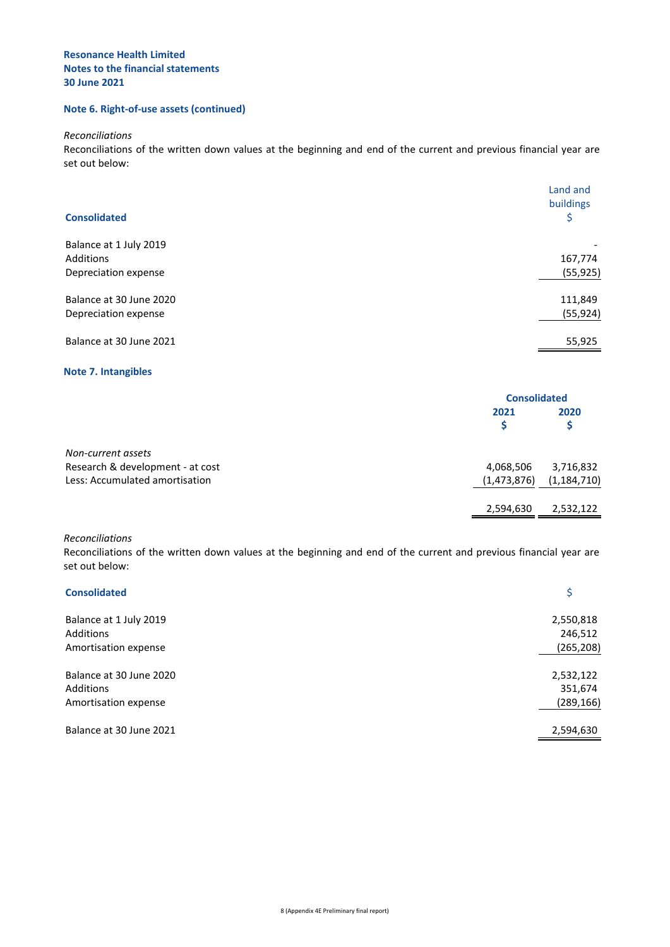# **Note 6. Right-of-use assets (continued)**

*Reconciliations*

Reconciliations of the written down values at the beginning and end of the current and previous financial year are set out below:

|                         | Land and<br>buildings |
|-------------------------|-----------------------|
| <b>Consolidated</b>     | \$                    |
| Balance at 1 July 2019  |                       |
| Additions               | 167,774               |
| Depreciation expense    | (55, 925)             |
| Balance at 30 June 2020 | 111,849               |
| Depreciation expense    | (55, 924)             |
| Balance at 30 June 2021 | 55,925                |

#### **Note 7. Intangibles**

|                                  |             | <b>Consolidated</b> |  |
|----------------------------------|-------------|---------------------|--|
|                                  | 2021        | 2020                |  |
| Non-current assets               |             |                     |  |
| Research & development - at cost | 4,068,506   | 3,716,832           |  |
| Less: Accumulated amortisation   | (1,473,876) | (1, 184, 710)       |  |
|                                  | 2,594,630   | 2,532,122           |  |

*Reconciliations*

Reconciliations of the written down values at the beginning and end of the current and previous financial year are set out below:

| <b>Consolidated</b>     |            |
|-------------------------|------------|
| Balance at 1 July 2019  | 2,550,818  |
| Additions               | 246,512    |
| Amortisation expense    | (265, 208) |
|                         |            |
| Balance at 30 June 2020 | 2,532,122  |
| <b>Additions</b>        | 351,674    |
| Amortisation expense    | (289, 166) |
| Balance at 30 June 2021 | 2,594,630  |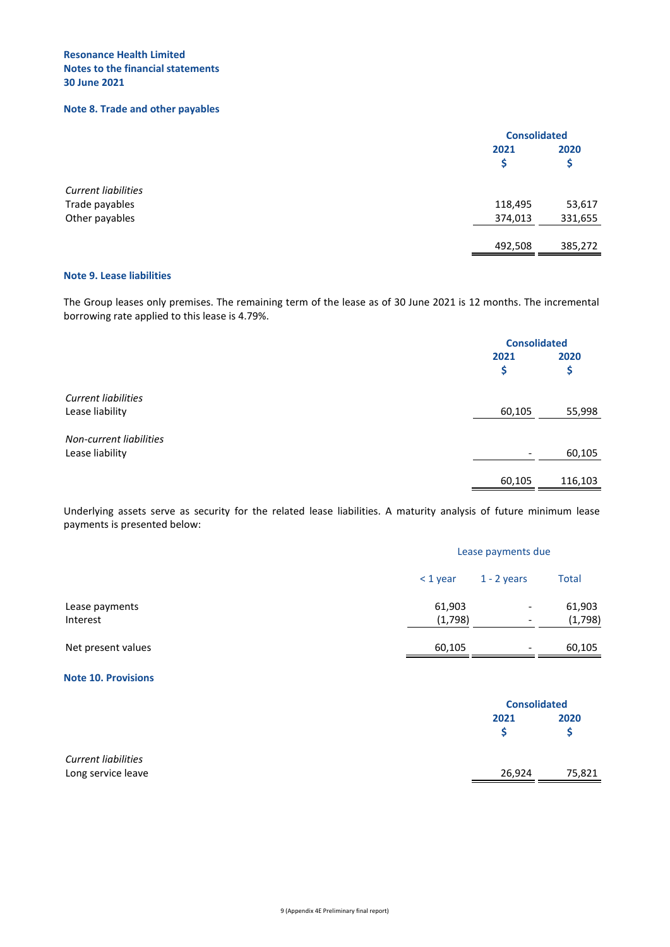# **Note 8. Trade and other payables**

|                            | <b>Consolidated</b> |           |
|----------------------------|---------------------|-----------|
|                            | 2021<br>S           | 2020<br>Ş |
| <b>Current liabilities</b> |                     |           |
| Trade payables             | 118,495             | 53,617    |
| Other payables             | 374,013             | 331,655   |
|                            | 492,508             | 385,272   |

# **Note 9. Lease liabilities**

The Group leases only premises. The remaining term of the lease as of 30 June 2021 is 12 months. The incremental borrowing rate applied to this lease is 4.79%.

|                            |                          | <b>Consolidated</b> |  |
|----------------------------|--------------------------|---------------------|--|
|                            | 2021                     | 2020                |  |
|                            | \$                       | \$                  |  |
| <b>Current liabilities</b> |                          |                     |  |
| Lease liability            | 60,105                   | 55,998              |  |
| Non-current liabilities    |                          |                     |  |
| Lease liability            | $\overline{\phantom{0}}$ | 60,105              |  |
|                            |                          |                     |  |
|                            | 60,105                   | 116,103             |  |

Underlying assets serve as security for the related lease liabilities. A maturity analysis of future minimum lease payments is presented below:

|                            |                   | Lease payments due                                   |                   |  |
|----------------------------|-------------------|------------------------------------------------------|-------------------|--|
|                            | $<$ 1 year        | $1 - 2$ years                                        | <b>Total</b>      |  |
| Lease payments<br>Interest | 61,903<br>(1,798) | $\overline{\phantom{a}}$<br>$\overline{\phantom{a}}$ | 61,903<br>(1,798) |  |
| Net present values         | 60,105            | $\overline{\phantom{a}}$                             | 60,105            |  |

# **Note 10. Provisions**

|                                                  |        | <b>Consolidated</b> |  |
|--------------------------------------------------|--------|---------------------|--|
|                                                  | 2021   | 2020                |  |
|                                                  |        | S                   |  |
| <b>Current liabilities</b><br>Long service leave | 26,924 | 75,821              |  |
|                                                  |        |                     |  |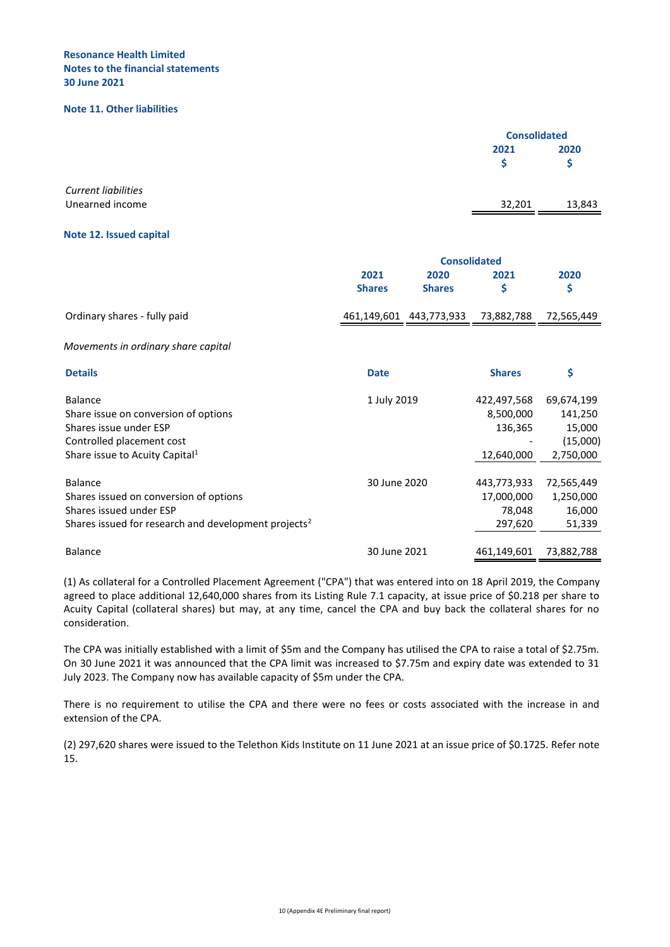#### **Note 11. Other liabilities**

|                                     |               |                         | <b>Consolidated</b> |            |
|-------------------------------------|---------------|-------------------------|---------------------|------------|
|                                     |               |                         | 2021                | 2020       |
|                                     |               |                         | \$                  | \$         |
| <b>Current liabilities</b>          |               |                         |                     |            |
| Unearned income                     |               |                         | 32,201              | 13,843     |
| Note 12. Issued capital             |               |                         |                     |            |
|                                     |               | <b>Consolidated</b>     |                     |            |
|                                     | 2021          | 2020                    | 2021                | 2020       |
|                                     | <b>Shares</b> | <b>Shares</b>           | \$                  | \$         |
| Ordinary shares - fully paid        |               | 461,149,601 443,773,933 | 73,882,788          | 72,565,449 |
| Movements in ordinary share capital |               |                         |                     |            |

| <b>Details</b>                                                   | <b>Date</b>  | <b>Shares</b> | \$         |
|------------------------------------------------------------------|--------------|---------------|------------|
| Balance                                                          | 1 July 2019  | 422,497,568   | 69,674,199 |
| Share issue on conversion of options                             |              | 8,500,000     | 141,250    |
| Shares issue under ESP                                           |              | 136,365       | 15,000     |
| Controlled placement cost                                        |              |               | (15,000)   |
| Share issue to Acuity Capital <sup>1</sup>                       |              | 12,640,000    | 2,750,000  |
|                                                                  |              |               |            |
| Balance                                                          | 30 June 2020 | 443,773,933   | 72,565,449 |
| Shares issued on conversion of options                           |              | 17,000,000    | 1,250,000  |
| Shares issued under ESP                                          |              | 78.048        | 16,000     |
| Shares issued for research and development projects <sup>2</sup> |              | 297,620       | 51,339     |
|                                                                  |              |               |            |
| <b>Balance</b>                                                   | 30 June 2021 | 461,149,601   | 73,882,788 |

(1) As collateral for a Controlled Placement Agreement ("CPA") that was entered into on 18 April 2019, the Company agreed to place additional 12,640,000 shares from its Listing Rule 7.1 capacity, at issue price of \$0.218 per share to Acuity Capital (collateral shares) but may, at any time, cancel the CPA and buy back the collateral shares for no consideration.

The CPA was initially established with a limit of \$5m and the Company has utilised the CPA to raise a total of \$2.75m. On 30 June 2021 it was announced that the CPA limit was increased to \$7.75m and expiry date was extended to 31 July 2023. The Company now has available capacity of \$5m under the CPA.

There is no requirement to utilise the CPA and there were no fees or costs associated with the increase in and extension of the CPA.

(2) 297,620 shares were issued to the Telethon Kids Institute on 11 June 2021 at an issue price of \$0.1725. Refer note 15.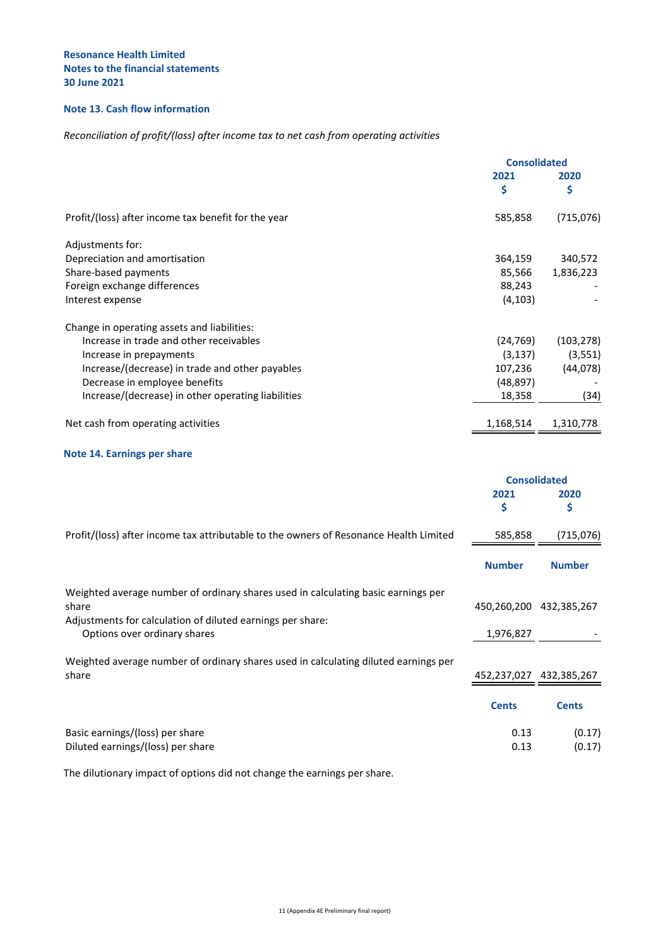# **Note 13. Cash flow information**

# *Reconciliation of profit/(loss) after income tax to net cash from operating activities*

|                                                     |           | <b>Consolidated</b> |  |
|-----------------------------------------------------|-----------|---------------------|--|
|                                                     | 2021      | 2020<br>\$          |  |
|                                                     | \$        |                     |  |
| Profit/(loss) after income tax benefit for the year | 585,858   | (715,076)           |  |
| Adjustments for:                                    |           |                     |  |
| Depreciation and amortisation                       | 364,159   | 340,572             |  |
| Share-based payments                                | 85,566    | 1,836,223           |  |
| Foreign exchange differences                        | 88,243    |                     |  |
| Interest expense                                    | (4, 103)  |                     |  |
| Change in operating assets and liabilities:         |           |                     |  |
| Increase in trade and other receivables             | (24, 769) | (103, 278)          |  |
| Increase in prepayments                             | (3, 137)  | (3,551)             |  |
| Increase/(decrease) in trade and other payables     | 107,236   | (44,078)            |  |
| Decrease in employee benefits                       | (48, 897) |                     |  |
| Increase/(decrease) in other operating liabilities  | 18,358    | (34)                |  |
| Net cash from operating activities                  | 1,168,514 | 1,310,778           |  |

# **Note 14. Earnings per share**

|                                                                                       | <b>Consolidated</b>     |               |
|---------------------------------------------------------------------------------------|-------------------------|---------------|
|                                                                                       | 2021                    | 2020          |
|                                                                                       | \$                      | \$            |
| Profit/(loss) after income tax attributable to the owners of Resonance Health Limited | 585,858                 | (715,076)     |
|                                                                                       | <b>Number</b>           | <b>Number</b> |
| Weighted average number of ordinary shares used in calculating basic earnings per     |                         |               |
| share                                                                                 | 450,260,200             | 432,385,267   |
| Adjustments for calculation of diluted earnings per share:                            |                         |               |
| Options over ordinary shares                                                          | 1,976,827               |               |
| Weighted average number of ordinary shares used in calculating diluted earnings per   |                         |               |
| share                                                                                 | 452,237,027 432,385,267 |               |
|                                                                                       | <b>Cents</b>            | <b>Cents</b>  |
| Basic earnings/(loss) per share                                                       | 0.13                    | (0.17)        |
| Diluted earnings/(loss) per share                                                     | 0.13                    | (0.17)        |

The dilutionary impact of options did not change the earnings per share.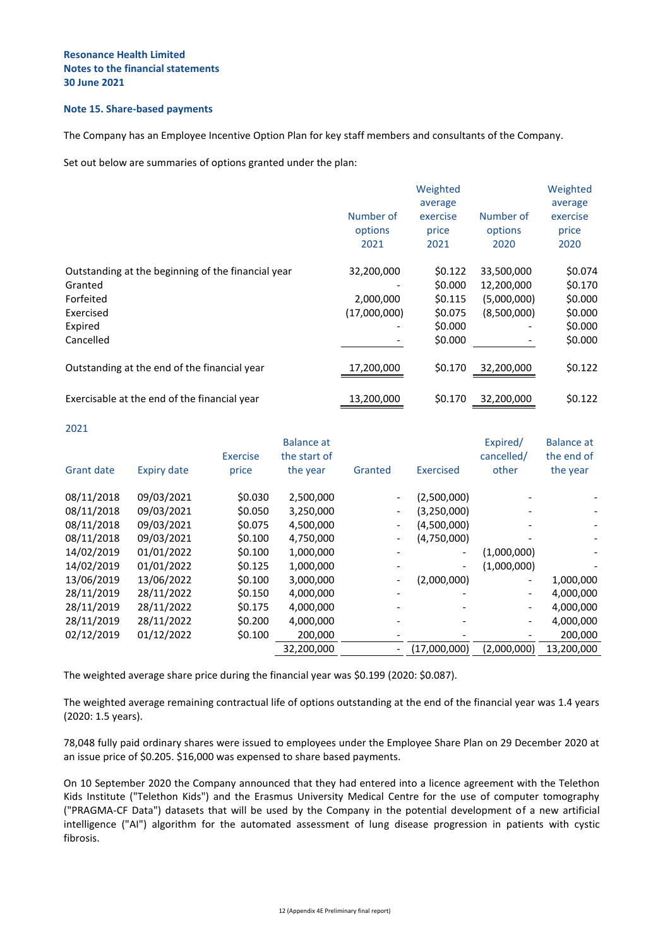#### **Note 15. Share-based payments**

The Company has an Employee Incentive Option Plan for key staff members and consultants of the Company.

Set out below are summaries of options granted under the plan:

|                                                               | Weighted                     |                                      |                              | Weighted                             |
|---------------------------------------------------------------|------------------------------|--------------------------------------|------------------------------|--------------------------------------|
|                                                               | Number of<br>options<br>2021 | average<br>exercise<br>price<br>2021 | Number of<br>options<br>2020 | average<br>exercise<br>price<br>2020 |
| Outstanding at the beginning of the financial year<br>Granted | 32,200,000                   | \$0.122<br>\$0.000                   | 33,500,000<br>12,200,000     | \$0.074<br>\$0.170                   |
| Forfeited                                                     | 2,000,000                    | \$0.115                              | (5,000,000)                  | \$0.000                              |
| Exercised                                                     | (17,000,000)                 | \$0.075                              | (8,500,000)                  | \$0.000                              |
| Expired                                                       |                              | \$0.000                              |                              | \$0.000                              |
| Cancelled                                                     |                              | \$0.000                              |                              | \$0.000                              |
| Outstanding at the end of the financial year                  | 17,200,000                   | \$0.170                              | 32,200,000                   | \$0.122                              |
| Exercisable at the end of the financial year                  | 13,200,000                   | \$0.170                              | 32,200,000                   | \$0.122                              |

2021

|                   |                    | <b>Exercise</b> | <b>Balance</b> at<br>the start of |                              |                          | Expired/<br>cancelled/       | <b>Balance at</b><br>the end of |
|-------------------|--------------------|-----------------|-----------------------------------|------------------------------|--------------------------|------------------------------|---------------------------------|
| <b>Grant date</b> | <b>Expiry date</b> | price           | the year                          | Granted                      | Exercised                | other                        | the year                        |
| 08/11/2018        | 09/03/2021         | \$0.030         | 2,500,000                         | $\overline{a}$               | (2,500,000)              |                              |                                 |
| 08/11/2018        | 09/03/2021         | \$0.050         | 3,250,000                         | $\overline{\phantom{a}}$     | (3,250,000)              |                              |                                 |
| 08/11/2018        | 09/03/2021         | \$0.075         | 4,500,000                         | $\qquad \qquad \blacksquare$ | (4,500,000)              |                              |                                 |
| 08/11/2018        | 09/03/2021         | \$0.100         | 4,750,000                         | $\qquad \qquad \blacksquare$ | (4,750,000)              |                              |                                 |
| 14/02/2019        | 01/01/2022         | \$0.100         | 1,000,000                         |                              | $\overline{\phantom{a}}$ | (1,000,000)                  |                                 |
| 14/02/2019        | 01/01/2022         | \$0.125         | 1,000,000                         |                              |                          | (1,000,000)                  |                                 |
| 13/06/2019        | 13/06/2022         | \$0.100         | 3,000,000                         | $\qquad \qquad \blacksquare$ | (2,000,000)              | $\qquad \qquad \blacksquare$ | 1,000,000                       |
| 28/11/2019        | 28/11/2022         | \$0.150         | 4,000,000                         | $\qquad \qquad$              |                          |                              | 4,000,000                       |
| 28/11/2019        | 28/11/2022         | \$0.175         | 4,000,000                         |                              |                          |                              | 4,000,000                       |
| 28/11/2019        | 28/11/2022         | \$0.200         | 4,000,000                         |                              |                          |                              | 4,000,000                       |
| 02/12/2019        | 01/12/2022         | \$0.100         | 200,000                           |                              |                          |                              | 200,000                         |
|                   |                    |                 | 32,200,000                        | $\overline{\phantom{a}}$     | (17,000,000)             | (2,000,000)                  | 13,200,000                      |
|                   |                    |                 |                                   |                              |                          |                              |                                 |

The weighted average share price during the financial year was \$0.199 (2020: \$0.087).

The weighted average remaining contractual life of options outstanding at the end of the financial year was 1.4 years (2020: 1.5 years).

78,048 fully paid ordinary shares were issued to employees under the Employee Share Plan on 29 December 2020 at an issue price of \$0.205. \$16,000 was expensed to share based payments.

On 10 September 2020 the Company announced that they had entered into a licence agreement with the Telethon Kids Institute ("Telethon Kids") and the Erasmus University Medical Centre for the use of computer tomography ("PRAGMA-CF Data") datasets that will be used by the Company in the potential development of a new artificial intelligence ("AI") algorithm for the automated assessment of lung disease progression in patients with cystic fibrosis.